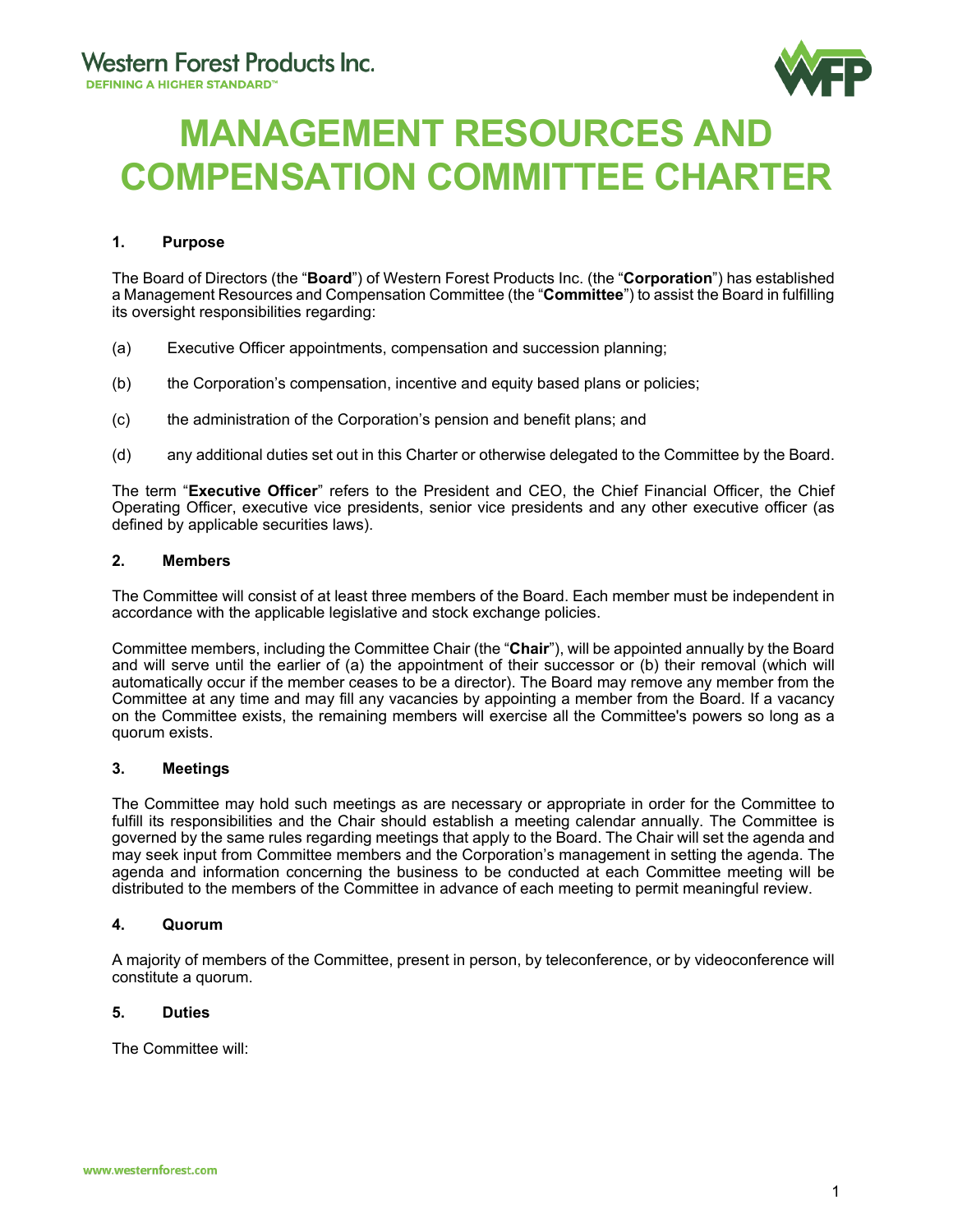

# **MANAGEMENT RESOURCES AND COMPENSATION COMMITTEE CHARTER**

# **1. Purpose**

The Board of Directors (the "**Board**") of Western Forest Products Inc. (the "**Corporation**") has established a Management Resources and Compensation Committee (the "**Committee**") to assist the Board in fulfilling its oversight responsibilities regarding:

- (a) Executive Officer appointments, compensation and succession planning;
- (b) the Corporation's compensation, incentive and equity based plans or policies;
- (c) the administration of the Corporation's pension and benefit plans; and
- (d) any additional duties set out in this Charter or otherwise delegated to the Committee by the Board.

The term "**Executive Officer**" refers to the President and CEO, the Chief Financial Officer, the Chief Operating Officer, executive vice presidents, senior vice presidents and any other executive officer (as defined by applicable securities laws).

## **2. Members**

The Committee will consist of at least three members of the Board. Each member must be independent in accordance with the applicable legislative and stock exchange policies.

Committee members, including the Committee Chair (the "**Chair**"), will be appointed annually by the Board and will serve until the earlier of (a) the appointment of their successor or (b) their removal (which will automatically occur if the member ceases to be a director). The Board may remove any member from the Committee at any time and may fill any vacancies by appointing a member from the Board. If a vacancy on the Committee exists, the remaining members will exercise all the Committee's powers so long as a quorum exists.

#### **3. Meetings**

The Committee may hold such meetings as are necessary or appropriate in order for the Committee to fulfill its responsibilities and the Chair should establish a meeting calendar annually. The Committee is governed by the same rules regarding meetings that apply to the Board. The Chair will set the agenda and may seek input from Committee members and the Corporation's management in setting the agenda. The agenda and information concerning the business to be conducted at each Committee meeting will be distributed to the members of the Committee in advance of each meeting to permit meaningful review.

#### **4. Quorum**

A majority of members of the Committee, present in person, by teleconference, or by videoconference will constitute a quorum.

#### **5. Duties**

The Committee will: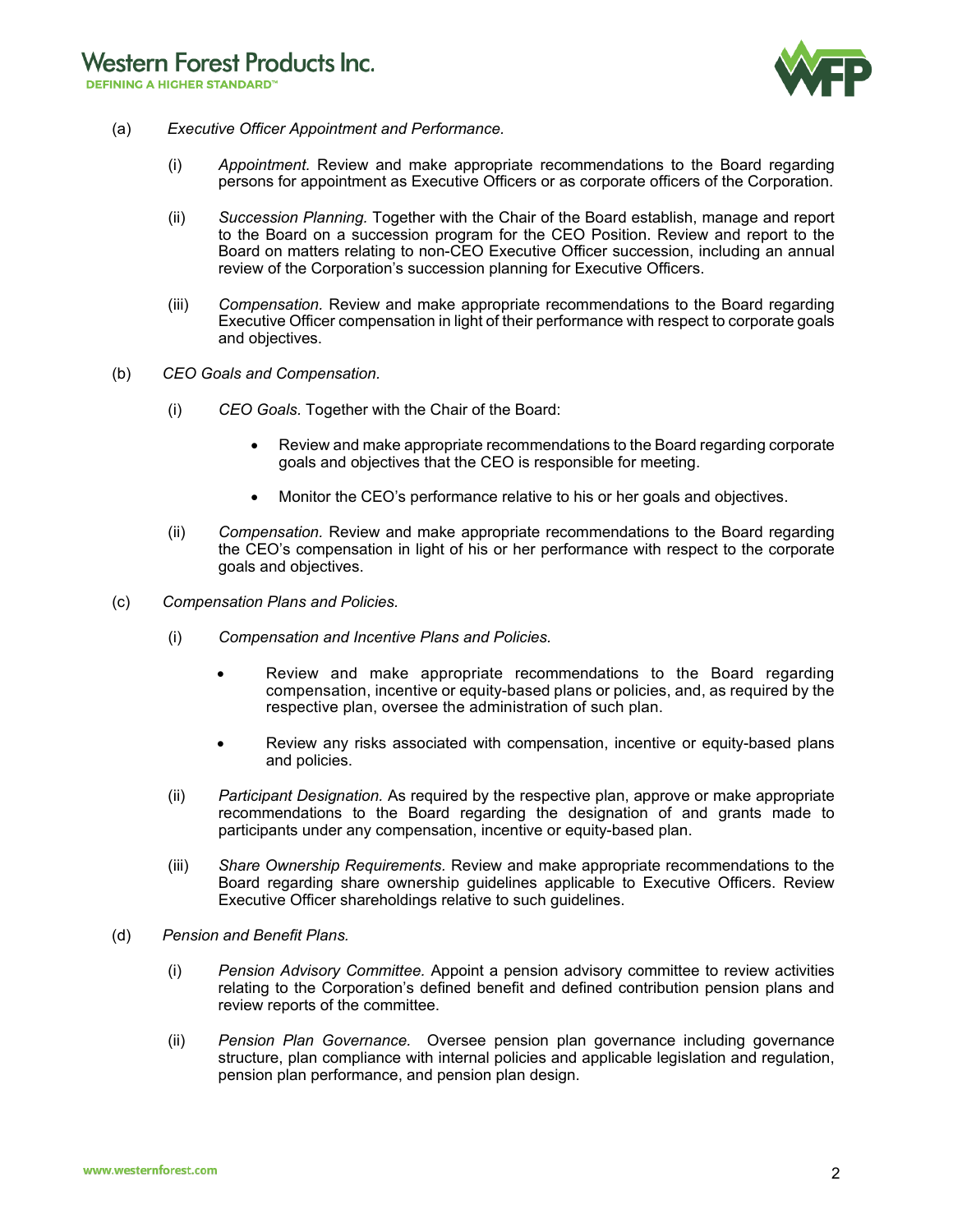

- (a) *Executive Officer Appointment and Performance.* 
	- (i) *Appointment.* Review and make appropriate recommendations to the Board regarding persons for appointment as Executive Officers or as corporate officers of the Corporation.
	- (ii) *Succession Planning.* Together with the Chair of the Board establish, manage and report to the Board on a succession program for the CEO Position. Review and report to the Board on matters relating to non-CEO Executive Officer succession, including an annual review of the Corporation's succession planning for Executive Officers.
	- (iii) *Compensation.* Review and make appropriate recommendations to the Board regarding Executive Officer compensation in light of their performance with respect to corporate goals and objectives.
- (b) *CEO Goals and Compensation.* 
	- (i) *CEO Goals.* Together with the Chair of the Board:
		- Review and make appropriate recommendations to the Board regarding corporate goals and objectives that the CEO is responsible for meeting.
		- Monitor the CEO's performance relative to his or her goals and objectives.
	- (ii) *Compensation.* Review and make appropriate recommendations to the Board regarding the CEO's compensation in light of his or her performance with respect to the corporate goals and objectives.
- (c) *Compensation Plans and Policies.* 
	- (i) *Compensation and Incentive Plans and Policies.*
		- Review and make appropriate recommendations to the Board regarding compensation, incentive or equity-based plans or policies, and, as required by the respective plan, oversee the administration of such plan.
		- Review any risks associated with compensation, incentive or equity-based plans and policies.
	- (ii) *Participant Designation.* As required by the respective plan, approve or make appropriate recommendations to the Board regarding the designation of and grants made to participants under any compensation, incentive or equity-based plan.
	- (iii) *Share Ownership Requirements.* Review and make appropriate recommendations to the Board regarding share ownership guidelines applicable to Executive Officers. Review Executive Officer shareholdings relative to such guidelines.
- (d) *Pension and Benefit Plans.*
	- (i) *Pension Advisory Committee.* Appoint a pension advisory committee to review activities relating to the Corporation's defined benefit and defined contribution pension plans and review reports of the committee.
	- (ii) *Pension Plan Governance.* Oversee pension plan governance including governance structure, plan compliance with internal policies and applicable legislation and regulation, pension plan performance, and pension plan design.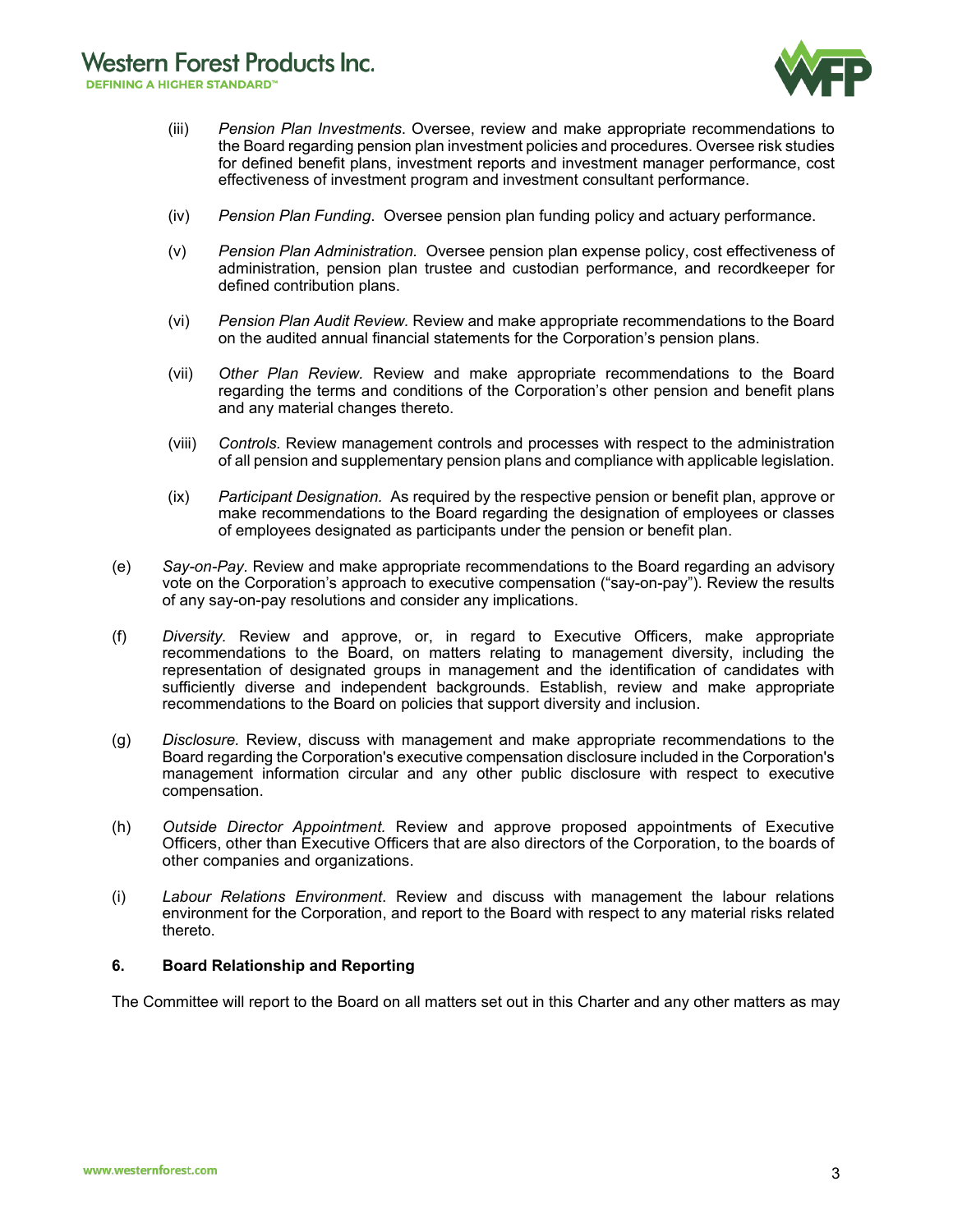- (iii) *Pension Plan Investments*. Oversee, review and make appropriate recommendations to the Board regarding pension plan investment policies and procedures. Oversee risk studies for defined benefit plans, investment reports and investment manager performance, cost effectiveness of investment program and investment consultant performance.
- (iv) *Pension Plan Funding*. Oversee pension plan funding policy and actuary performance.
- (v) *Pension Plan Administration.* Oversee pension plan expense policy, cost effectiveness of administration, pension plan trustee and custodian performance, and recordkeeper for defined contribution plans.
- (vi) *Pension Plan Audit Review.* Review and make appropriate recommendations to the Board on the audited annual financial statements for the Corporation's pension plans.
- (vii) *Other Plan Review.* Review and make appropriate recommendations to the Board regarding the terms and conditions of the Corporation's other pension and benefit plans and any material changes thereto.
- (viii) *Controls.* Review management controls and processes with respect to the administration of all pension and supplementary pension plans and compliance with applicable legislation.
- (ix) *Participant Designation.* As required by the respective pension or benefit plan, approve or make recommendations to the Board regarding the designation of employees or classes of employees designated as participants under the pension or benefit plan.
- (e) *Say-on-Pay.* Review and make appropriate recommendations to the Board regarding an advisory vote on the Corporation's approach to executive compensation ("say-on-pay"). Review the results of any say-on-pay resolutions and consider any implications.
- (f) *Diversity.* Review and approve, or, in regard to Executive Officers, make appropriate recommendations to the Board, on matters relating to management diversity, including the representation of designated groups in management and the identification of candidates with sufficiently diverse and independent backgrounds. Establish, review and make appropriate recommendations to the Board on policies that support diversity and inclusion.
- (g) *Disclosure.* Review, discuss with management and make appropriate recommendations to the Board regarding the Corporation's executive compensation disclosure included in the Corporation's management information circular and any other public disclosure with respect to executive compensation.
- (h) *Outside Director Appointment.* Review and approve proposed appointments of Executive Officers, other than Executive Officers that are also directors of the Corporation, to the boards of other companies and organizations.
- (i) *Labour Relations Environment*. Review and discuss with management the labour relations environment for the Corporation, and report to the Board with respect to any material risks related thereto.

#### **6. Board Relationship and Reporting**

The Committee will report to the Board on all matters set out in this Charter and any other matters as may